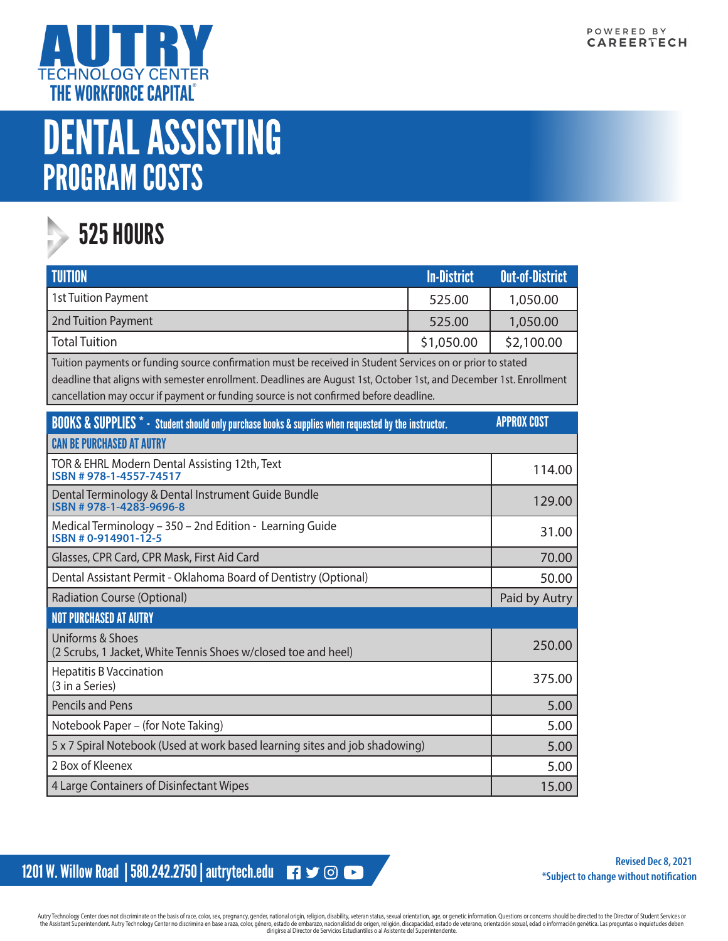

## DENTAL ASSISTING PROGRAM COSTS



## **525 HOURS**

| <b>TUITION</b>                                                                                                                                                                                                                                                                                                            | <b>In-District</b> | <b>Out-of-District</b> |  |
|---------------------------------------------------------------------------------------------------------------------------------------------------------------------------------------------------------------------------------------------------------------------------------------------------------------------------|--------------------|------------------------|--|
| 1st Tuition Payment                                                                                                                                                                                                                                                                                                       | 525.00             | 1,050.00               |  |
| 2nd Tuition Payment                                                                                                                                                                                                                                                                                                       | 525.00             | 1,050.00               |  |
| <b>Total Tuition</b>                                                                                                                                                                                                                                                                                                      | \$1,050.00         | \$2,100.00             |  |
| Tuition payments or funding source confirmation must be received in Student Services on or prior to stated<br>deadline that aligns with semester enrollment. Deadlines are August 1st, October 1st, and December 1st. Enrollment<br>cancellation may occur if payment or funding source is not confirmed before deadline. |                    |                        |  |
| <b>BOOKS &amp; SUPPLIES *</b> - Student should only purchase books & supplies when requested by the instructor.                                                                                                                                                                                                           |                    | <b>APPROX COST</b>     |  |
| <b>CAN BE PURCHASED AT AUTRY</b>                                                                                                                                                                                                                                                                                          |                    |                        |  |
| TOR & EHRL Modern Dental Assisting 12th, Text<br>ISBN #978-1-4557-74517                                                                                                                                                                                                                                                   |                    | 114.00                 |  |
| Dental Terminology & Dental Instrument Guide Bundle<br>ISBN #978-1-4283-9696-8                                                                                                                                                                                                                                            |                    | 129.00                 |  |
| Medical Terminology - 350 - 2nd Edition - Learning Guide<br>ISBN #0-914901-12-5                                                                                                                                                                                                                                           |                    | 31.00                  |  |
| Glasses, CPR Card, CPR Mask, First Aid Card                                                                                                                                                                                                                                                                               |                    | 70.00                  |  |
| Dental Assistant Permit - Oklahoma Board of Dentistry (Optional)                                                                                                                                                                                                                                                          |                    | 50.00                  |  |
| <b>Radiation Course (Optional)</b>                                                                                                                                                                                                                                                                                        |                    | Paid by Autry          |  |
| <b>NOT PURCHASED AT AUTRY</b>                                                                                                                                                                                                                                                                                             |                    |                        |  |
| <b>Uniforms &amp; Shoes</b><br>(2 Scrubs, 1 Jacket, White Tennis Shoes w/closed toe and heel)                                                                                                                                                                                                                             |                    | 250.00                 |  |
| <b>Hepatitis B Vaccination</b><br>(3 in a Series)                                                                                                                                                                                                                                                                         |                    | 375.00                 |  |
| <b>Pencils and Pens</b>                                                                                                                                                                                                                                                                                                   |                    | 5.00                   |  |
| Notebook Paper - (for Note Taking)                                                                                                                                                                                                                                                                                        |                    | 5.00                   |  |
| 5 x 7 Spiral Notebook (Used at work based learning sites and job shadowing)                                                                                                                                                                                                                                               |                    | 5.00                   |  |
| 2 Box of Kleenex                                                                                                                                                                                                                                                                                                          |                    | 5.00                   |  |
| 4 Large Containers of Disinfectant Wipes                                                                                                                                                                                                                                                                                  |                    | 15.00                  |  |

1201 W. Willow Road | 580.242.2750 | autrytech.edu ■ → © ●

**Revised Dec 8, 2021 \*Subject to change without notification**

Autry Technology Center does not discriminate on the basis of race, color, sex, pregnancy, gender, national origin, religion, disability, veteran status, sexual orientation, age, or genetic information. Questions or concer